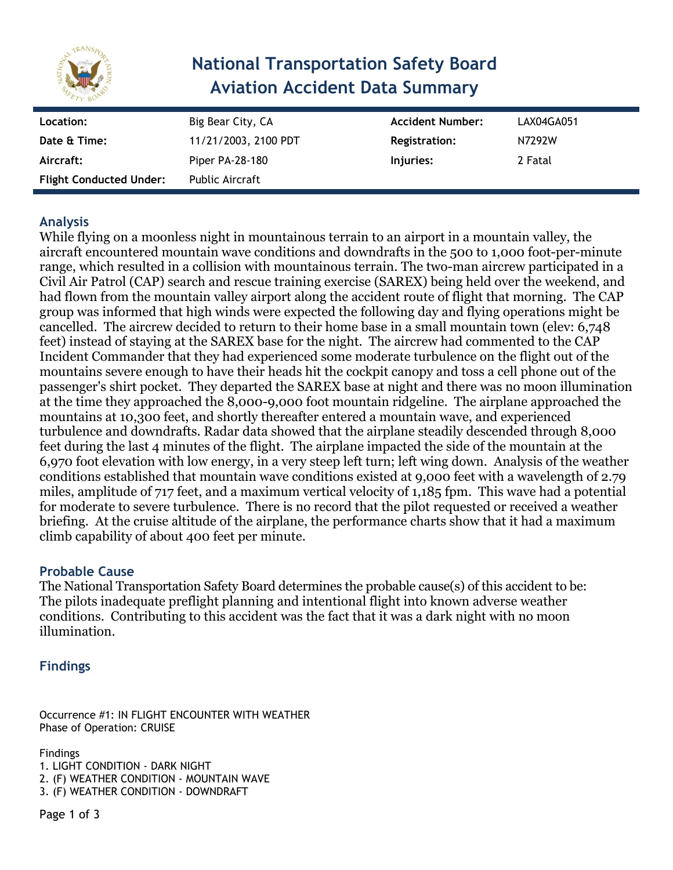

# **National Transportation Safety Board Aviation Accident Data Summary**

| Location:                      | Big Bear City, CA    | <b>Accident Number:</b> | LAX04GA051 |
|--------------------------------|----------------------|-------------------------|------------|
| Date & Time:                   | 11/21/2003, 2100 PDT | Registration:           | N7292W     |
| Aircraft:                      | Piper PA-28-180      | Injuries:               | 2 Fatal    |
| <b>Flight Conducted Under:</b> | Public Aircraft      |                         |            |

# **Analysis**

While flying on a moonless night in mountainous terrain to an airport in a mountain valley, the aircraft encountered mountain wave conditions and downdrafts in the 500 to 1,000 foot-per-minute range, which resulted in a collision with mountainous terrain. The two-man aircrew participated in a Civil Air Patrol (CAP) search and rescue training exercise (SAREX) being held over the weekend, and had flown from the mountain valley airport along the accident route of flight that morning. The CAP group was informed that high winds were expected the following day and flying operations might be cancelled. The aircrew decided to return to their home base in a small mountain town (elev: 6,748 feet) instead of staying at the SAREX base for the night. The aircrew had commented to the CAP Incident Commander that they had experienced some moderate turbulence on the flight out of the mountains severe enough to have their heads hit the cockpit canopy and toss a cell phone out of the passenger's shirt pocket. They departed the SAREX base at night and there was no moon illumination at the time they approached the 8,000-9,000 foot mountain ridgeline. The airplane approached the mountains at 10,300 feet, and shortly thereafter entered a mountain wave, and experienced turbulence and downdrafts. Radar data showed that the airplane steadily descended through 8,000 feet during the last 4 minutes of the flight. The airplane impacted the side of the mountain at the 6,970 foot elevation with low energy, in a very steep left turn; left wing down. Analysis of the weather conditions established that mountain wave conditions existed at 9,000 feet with a wavelength of 2.79 miles, amplitude of 717 feet, and a maximum vertical velocity of 1,185 fpm. This wave had a potential for moderate to severe turbulence. There is no record that the pilot requested or received a weather briefing. At the cruise altitude of the airplane, the performance charts show that it had a maximum climb capability of about 400 feet per minute.

## **Probable Cause**

The National Transportation Safety Board determines the probable cause(s) of this accident to be: The pilots inadequate preflight planning and intentional flight into known adverse weather conditions. Contributing to this accident was the fact that it was a dark night with no moon illumination.

## **Findings**

Occurrence #1: IN FLIGHT ENCOUNTER WITH WEATHER Phase of Operation: CRUISE

Findings

1. LIGHT CONDITION - DARK NIGHT 2. (F) WEATHER CONDITION - MOUNTAIN WAVE 3. (F) WEATHER CONDITION - DOWNDRAFT

Page 1 of 3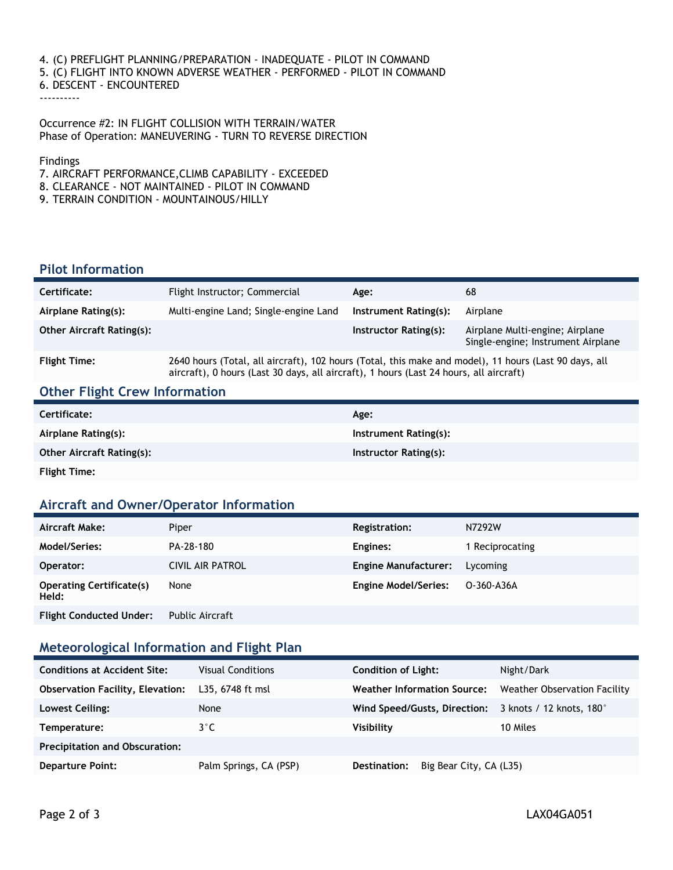4. (C) PREFLIGHT PLANNING/PREPARATION - INADEQUATE - PILOT IN COMMAND 5. (C) FLIGHT INTO KNOWN ADVERSE WEATHER - PERFORMED - PILOT IN COMMAND 6. DESCENT - ENCOUNTERED ----------

Occurrence #2: IN FLIGHT COLLISION WITH TERRAIN/WATER Phase of Operation: MANEUVERING - TURN TO REVERSE DIRECTION

Findings

- 7. AIRCRAFT PERFORMANCE,CLIMB CAPABILITY EXCEEDED
- 8. CLEARANCE NOT MAINTAINED PILOT IN COMMAND
- 9. TERRAIN CONDITION MOUNTAINOUS/HILLY

#### **Pilot Information**

| Certificate:                     | Flight Instructor; Commercial                                                                         | Age:                  | 68                                                                    |
|----------------------------------|-------------------------------------------------------------------------------------------------------|-----------------------|-----------------------------------------------------------------------|
| Airplane Rating(s):              | Multi-engine Land; Single-engine Land                                                                 | Instrument Rating(s): | Airplane                                                              |
| <b>Other Aircraft Rating(s):</b> |                                                                                                       | Instructor Rating(s): | Airplane Multi-engine; Airplane<br>Single-engine; Instrument Airplane |
| <b>Flight Time:</b>              | 2640 hours (Total, all aircraft), 102 hours (Total, this make and model), 11 hours (Last 90 days, all |                       |                                                                       |

# aircraft), 0 hours (Last 30 days, all aircraft), 1 hours (Last 24 hours, all aircraft)

#### **Other Flight Crew Information**

| Certificate:                     | Age:                  |
|----------------------------------|-----------------------|
| Airplane Rating(s):              | Instrument Rating(s): |
| <b>Other Aircraft Rating(s):</b> | Instructor Rating(s): |
| <b>Flight Time:</b>              |                       |

#### **Aircraft and Owner/Operator Information**

| Aircraft Make:                           | Piper                                                                            | Registration:               | N7292W          |
|------------------------------------------|----------------------------------------------------------------------------------|-----------------------------|-----------------|
| Model/Series:                            | PA-28-180                                                                        | Engines:                    | 1 Reciprocating |
| Operator:                                | <b>CIVIL AIR PATROL</b>                                                          | <b>Engine Manufacturer:</b> | Lycoming        |
| <b>Operating Certificate(s)</b><br>Held: | None                                                                             | <b>Engine Model/Series:</b> | O-360-A36A      |
| Filiada Cara de academicidade aos c      | $\mathbf{D}$ and $\mathbf{D}$ and $\mathbf{D}$ and $\mathbf{D}$ and $\mathbf{D}$ |                             |                 |

**Flight Conducted Under:** Public Aircraft

#### **Meteorological Information and Flight Plan**

| <b>Conditions at Accident Site:</b>     | <b>Visual Conditions</b> | <b>Condition of Light:</b>                            | Night/Dark                   |
|-----------------------------------------|--------------------------|-------------------------------------------------------|------------------------------|
| <b>Observation Facility, Elevation:</b> | L35, 6748 ft msl         | <b>Weather Information Source:</b>                    | Weather Observation Facility |
| Lowest Ceiling:                         | None                     | Wind Speed/Gusts, Direction: 3 knots / 12 knots, 180° |                              |
| Temperature:                            | $3^{\circ}$ C            | Visibility                                            | 10 Miles                     |
| <b>Precipitation and Obscuration:</b>   |                          |                                                       |                              |
| <b>Departure Point:</b>                 | Palm Springs, CA (PSP)   | Big Bear City, CA (L35)<br>Destination:               |                              |